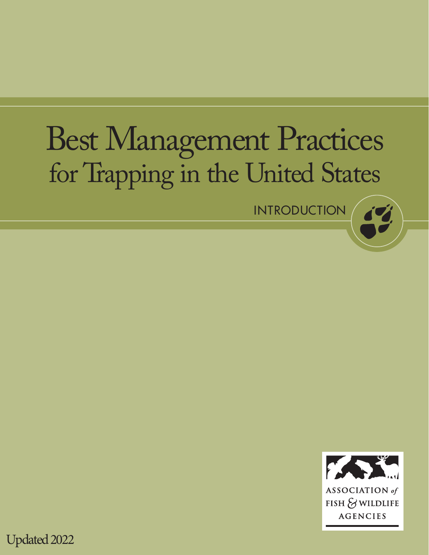# Best Management Practices for Trapping in the United States

INTRODUCTION



Updated 2022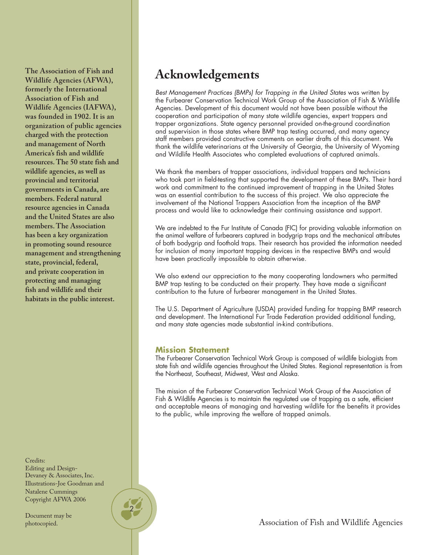**The Association of Fish and Wildlife Agencies (AFWA), formerly the International Association of Fish and Wildlife Agencies (IAFWA), was founded in 1902. It is an organization of public agencies charged with the protection and management of North America's fish and wildlife resources. The 50 state fish and wildlife agencies, as well as provincial and territorial governments in Canada, are members. Federal natural resource agencies in Canada and the United States are also members. The Association has been a key organization in promoting sound resource management and strengthening state, provincial, federal, and private cooperation in protecting and managing fish and wildlife and their habitats in the public interest.**

Credits: Editing and Design-Devaney & Associates, Inc. Illustrations-Joe Goodman and Natalene Cummings Copyright AFWA 2006

2

Document may be photocopied.

### **Acknowledgements**

Best Management Practices (BMPs) for Trapping in the United States was written by the Furbearer Conservation Technical Work Group of the Association of Fish & Wildlife Agencies. Development of this document would not have been possible without the cooperation and participation of many state wildlife agencies, expert trappers and trapper organizations. State agency personnel provided on-the-ground coordination and supervision in those states where BMP trap testing occurred, and many agency staff members provided constructive comments on earlier drafts of this document. We thank the wildlife veterinarians at the University of Georgia, the University of Wyoming and Wildlife Health Associates who completed evaluations of captured animals.

We thank the members of trapper associations, individual trappers and technicians who took part in field-testing that supported the development of these BMPs. Their hard work and commitment to the continued improvement of trapping in the United States was an essential contribution to the success of this project. We also appreciate the involvement of the National Trappers Association from the inception of the BMP process and would like to acknowledge their continuing assistance and support.

We are indebted to the Fur Institute of Canada (FIC) for providing valuable information on the animal welfare of furbearers captured in bodygrip traps and the mechanical attributes of both bodygrip and foothold traps. Their research has provided the information needed for inclusion of many important trapping devices in the respective BMPs and would have been practically impossible to obtain otherwise.

We also extend our appreciation to the many cooperating landowners who permitted BMP trap testing to be conducted on their property. They have made a significant contribution to the future of furbearer management in the United States.

The U.S. Department of Agriculture (USDA) provided funding for trapping BMP research and development. The International Fur Trade Federation provided additional funding, and many state agencies made substantial in-kind contributions.

#### **Mission Statement**

The Furbearer Conservation Technical Work Group is composed of wildlife biologists from state fish and wildlife agencies throughout the United States. Regional representation is from the Northeast, Southeast, Midwest, West and Alaska.

The mission of the Furbearer Conservation Technical Work Group of the Association of Fish & Wildlife Agencies is to maintain the regulated use of trapping as a safe, efficient and acceptable means of managing and harvesting wildlife for the benefits it provides to the public, while improving the welfare of trapped animals.

Association of Fish and Wildlife Agencies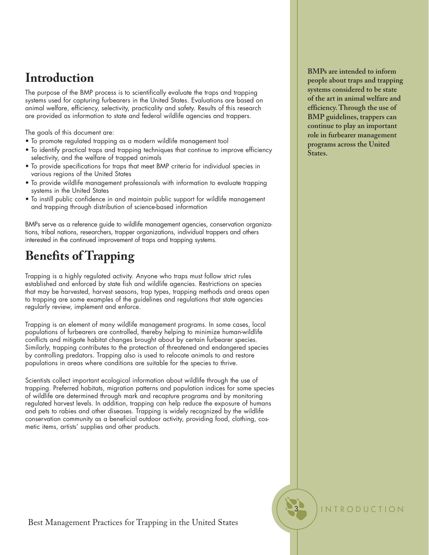# **Introduction**

The purpose of the BMP process is to scientifically evaluate the traps and trapping systems used for capturing furbearers in the United States. Evaluations are based on animal welfare, efficiency, selectivity, practicality and safety. Results of this research are provided as information to state and federal wildlife agencies and trappers.

The goals of this document are:

- To promote regulated trapping as a modern wildlife management tool
- To identify practical traps and trapping techniques that continue to improve efficiency selectivity, and the welfare of trapped animals
- To provide specifications for traps that meet BMP criteria for individual species in various regions of the United States
- To provide wildlife management professionals with information to evaluate trapping systems in the United States
- To instill public confidence in and maintain public support for wildlife management and trapping through distribution of science-based information

BMPs serve as a reference guide to wildlife management agencies, conservation organizations, tribal nations, researchers, trapper organizations, individual trappers and others interested in the continued improvement of traps and trapping systems.

# **Benefits of Trapping**

Trapping is a highly regulated activity. Anyone who traps must follow strict rules established and enforced by state fish and wildlife agencies. Restrictions on species that may be harvested, harvest seasons, trap types, trapping methods and areas open to trapping are some examples of the guidelines and regulations that state agencies regularly review, implement and enforce.

Trapping is an element of many wildlife management programs. In some cases, local populations of furbearers are controlled, thereby helping to minimize human-wildlife conflicts and mitigate habitat changes brought about by certain furbearer species. Similarly, trapping contributes to the protection of threatened and endangered species by controlling predators. Trapping also is used to relocate animals to and restore populations in areas where conditions are suitable for the species to thrive.

Scientists collect important ecological information about wildlife through the use of trapping. Preferred habitats, migration patterns and population indices for some species of wildlife are determined through mark and recapture programs and by monitoring regulated harvest levels. In addition, trapping can help reduce the exposure of humans and pets to rabies and other diseases. Trapping is widely recognized by the wildlife conservation community as a beneficial outdoor activity, providing food, clothing, cosmetic items, artists' supplies and other products.

**BMPs are intended to inform people about traps and trapping systems considered to be state of the art in animal welfare and efficiency. Through the use of BMP guidelines, trappers can continue to play an important role in furbearer management programs across the United States.**

**INTRODUCTION** 

Best Management Practices for Trapping in the United States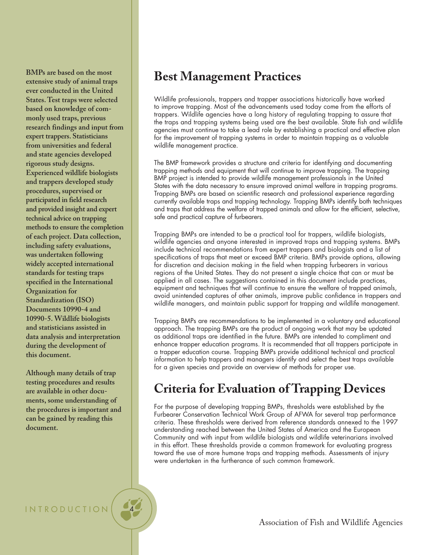**BMPs are based on the most extensive study of animal traps ever conducted in the United States. Test traps were selected based on knowledge of commonly used traps, previous research findings and input from expert trappers. Statisticians from universities and federal and state agencies developed rigorous study designs. Experienced wildlife biologists and trappers developed study procedures, supervised or participated in field research and provided insight and expert technical advice on trapping methods to ensure the completion of each project. Data collection, including safety evaluations, was undertaken following widely accepted international standards for testing traps specified in the International Organization for Standardization (ISO) Documents 10990-4 and 10990-5. Wildlife biologists and statisticians assisted in data analysis and interpretation during the development of this document.**

**Although many details of trap testing procedures and results are available in other documents, some understanding of the procedures is important and can be gained by reading this document.**

INTRODUCTION

### **Best Management Practices**

Wildlife professionals, trappers and trapper associations historically have worked to improve trapping. Most of the advancements used today come from the efforts of trappers. Wildlife agencies have a long history of regulating trapping to assure that the traps and trapping systems being used are the best available. State fish and wildlife agencies must continue to take a lead role by establishing a practical and effective plan for the improvement of trapping systems in order to maintain trapping as a valuable wildlife management practice.

The BMP framework provides a structure and criteria for identifying and documenting trapping methods and equipment that will continue to improve trapping. The trapping BMP project is intended to provide wildlife management professionals in the United States with the data necessary to ensure improved animal welfare in trapping programs. Trapping BMPs are based on scientific research and professional experience regarding currently available traps and trapping technology. Trapping BMPs identify both techniques and traps that address the welfare of trapped animals and allow for the efficient, selective, safe and practical capture of furbearers.

Trapping BMPs are intended to be a practical tool for trappers, wildlife biologists, wildlife agencies and anyone interested in improved traps and trapping systems. BMPs include technical recommendations from expert trappers and biologists and a list of specifications of traps that meet or exceed BMP criteria. BMPs provide options, allowing for discretion and decision making in the field when trapping furbearers in various regions of the United States. They do not present a single choice that can or must be applied in all cases. The suggestions contained in this document include practices, equipment and techniques that will continue to ensure the welfare of trapped animals, avoid unintended captures of other animals, improve public confidence in trappers and wildlife managers, and maintain public support for trapping and wildlife management.

Trapping BMPs are recommendations to be implemented in a voluntary and educational approach. The trapping BMPs are the product of ongoing work that may be updated as additional traps are identified in the future. BMPs are intended to compliment and enhance trapper education programs. It is recommended that all trappers participate in a trapper education course. Trapping BMPs provide additional technical and practical information to help trappers and managers identify and select the best traps available for a given species and provide an overview of methods for proper use.

### **Criteria for Evaluation of Trapping Devices**

For the purpose of developing trapping BMPs, thresholds were established by the Furbearer Conservation Technical Work Group of AFWA for several trap performance criteria. These thresholds were derived from reference standards annexed to the 1997 understanding reached between the United States of America and the European Community and with input from wildlife biologists and wildlife veterinarians involved in this effort. These thresholds provide a common framework for evaluating progress toward the use of more humane traps and trapping methods. Assessments of injury were undertaken in the furtherance of such common framework.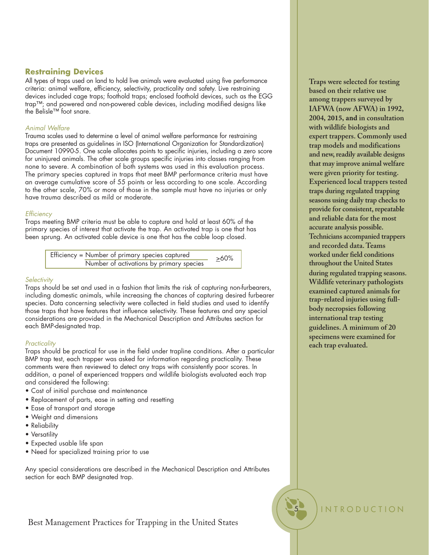#### **Restraining Devices**

All types of traps used on land to hold live animals were evaluated using five performance criteria: animal welfare, efficiency, selectivity, practicality and safety. Live restraining devices included cage traps; foothold traps; enclosed foothold devices, such as the EGG trap™; and powered and non-powered cable devices, including modified designs like the Belisle™ foot snare.

#### Animal Welfare

Trauma scales used to determine a level of animal welfare performance for restraining traps are presented as guidelines in ISO (International Organization for Standardization) Document 10990-5. One scale allocates points to specific injuries, including a zero score for uninjured animals. The other scale groups specific injuries into classes ranging from none to severe. A combination of both systems was used in this evaluation process. The primary species captured in traps that meet BMP performance criteria must have an average cumulative score of 55 points or less according to one scale. According to the other scale, 70% or more of those in the sample must have no injuries or only have trauma described as mild or moderate.

#### **Efficiency**

Traps meeting BMP criteria must be able to capture and hold at least 60% of the primary species of interest that activate the trap. An activated trap is one that has been sprung. An activated cable device is one that has the cable loop closed.

> Efficiency = Number of primary species captured Number of activations by primary species >60%

#### **Selectivity**

Traps should be set and used in a fashion that limits the risk of capturing non-furbearers, including domestic animals, while increasing the chances of capturing desired furbearer species. Data concerning selectivity were collected in field studies and used to identify those traps that have features that influence selectivity. These features and any special considerations are provided in the Mechanical Description and Attributes section for each BMP-designated trap.

#### **Practicality**

Traps should be practical for use in the field under trapline conditions. After a particular BMP trap test, each trapper was asked for information regarding practicality. These comments were then reviewed to detect any traps with consistently poor scores. In addition, a panel of experienced trappers and wildlife biologists evaluated each trap and considered the following:

- Cost of initial purchase and maintenance
- Replacement of parts, ease in setting and resetting
- Ease of transport and storage
- Weight and dimensions
- Reliability
- Versatility
- Expected usable life span
- Need for specialized training prior to use

Any special considerations are described in the Mechanical Description and Attributes section for each BMP designated trap.

#### Best Management Practices for Trapping in the United States

**Traps were selected for testing based on their relative use among trappers surveyed by IAFWA (now AFWA) in 1992, 2004, 2015, and in consultation with wildlife biologists and expert trappers. Commonly used trap models and modifications and new,readily available designs that may improve animal welfare were given priority for testing. Experienced local trappers tested traps during regulated trapping seasons using daily trap checks to** provide for consistent, repeatable **and reliable data for the most accurate analysis possible. Technicians accompanied trappers and recorded data. Teams worked under field conditions**

**during regulated trapping seasons. Wildlife veterinary pathologists examined captured animals for trap-related injuries using fullbody necropsies following international trap testing guidelines. A minimum of 20 specimens were examined for each trap evaluated.**

**throughout the United States** 

**INTRODUCTION**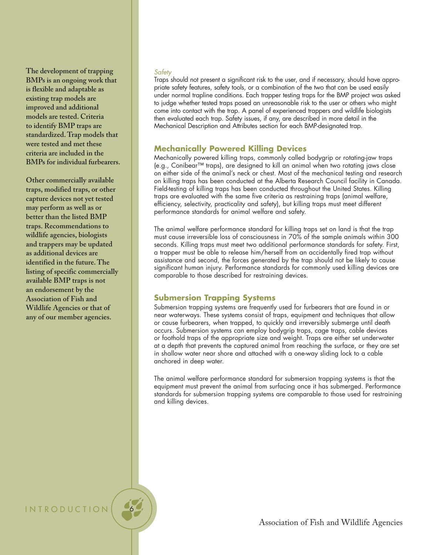**The development of trapping BMPs is an ongoing work that is flexible and adaptable as existing trap models are improved and additional models are tested. Criteria to identify BMP traps are standardized. Trap models that were tested and met these criteria are included in the BMPs for individual furbearers.**

**Other commercially available traps, modified traps, or other capture devices not yet tested may perform as well as or better than the listed BMP traps. Recommendations to wildlife agencies, biologists and trappers may be updated as additional devices are identified in the future. The listing of specific commercially available BMP traps is not an endorsement by the Association of Fish and Wildlife Agencies or that of any of our member agencies.**

#### **Safety**

Traps should not present a significant risk to the user, and if necessary, should have appropriate safety features, safety tools, or a combination of the two that can be used easily under normal trapline conditions. Each trapper testing traps for the BMP project was asked to judge whether tested traps posed an unreasonable risk to the user or others who might come into contact with the trap. A panel of experienced trappers and wildlife biologists then evaluated each trap. Safety issues, if any, are described in more detail in the Mechanical Description and Attributes section for each BMP-designated trap.

### **Mechanically Powered Killing Devices**

Mechanically powered killing traps, commonly called bodygrip or rotating-jaw traps (e.g., Conibear™ traps), are designed to kill an animal when two rotating jaws close on either side of the animal's neck or chest. Most of the mechanical testing and research on killing traps has been conducted at the Alberta Research Council facility in Canada. Field-testing of killing traps has been conducted throughout the United States. Killing traps are evaluated with the same five criteria as restraining traps (animal welfare, efficiency, selectivity, practicality and safety), but killing traps must meet different performance standards for animal welfare and safety.

The animal welfare performance standard for killing traps set on land is that the trap must cause irreversible loss of consciousness in 70% of the sample animals within 300 seconds. Killing traps must meet two additional performance standards for safety. First, a trapper must be able to release him/herself from an accidentally fired trap without assistance and second, the forces generated by the trap should not be likely to cause significant human injury. Performance standards for commonly used killing devices are comparable to those described for restraining devices.

### **Submersion Trapping Systems**

Submersion trapping systems are frequently used for furbearers that are found in or near waterways. These systems consist of traps, equipment and techniques that allow or cause furbearers, when trapped, to quickly and irreversibly submerge until death occurs. Submersion systems can employ bodygrip traps, cage traps, cable devices or foothold traps of the appropriate size and weight. Traps are either set underwater at a depth that prevents the captured animal from reaching the surface, or they are set in shallow water near shore and attached with a one-way sliding lock to a cable anchored in deep water.

The animal welfare performance standard for submersion trapping systems is that the equipment must prevent the animal from surfacing once it has submerged. Performance standards for submersion trapping systems are comparable to those used for restraining and killing devices.

INTRODUCTION

Association of Fish and Wildlife Agencies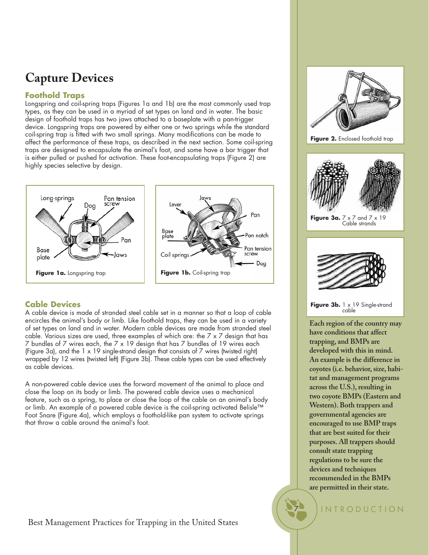# **Capture Devices**

### **Foothold Traps**

Longspring and coil-spring traps (Figures 1a and 1b) are the most commonly used trap types, as they can be used in a myriad of set types on land and in water. The basic design of foothold traps has two jaws attached to a baseplate with a pan-trigger device. Longspring traps are powered by either one or two springs while the standard coil-spring trap is fitted with two small springs. Many modifications can be made to affect the performance of these traps, as described in the next section. Some coil-spring traps are designed to encapsulate the animal's foot, and some have a bar trigger that is either pulled or pushed for activation. These foot-encapsulating traps (Figure 2) are highly species selective by design.



### **Cable Devices**

A cable device is made of stranded steel cable set in a manner so that a loop of cable encircles the animal's body or limb. Like foothold traps, they can be used in a variety of set types on land and in water. Modern cable devices are made from stranded steel cable. Various sizes are used, three examples of which are: the 7 x 7 design that has 7 bundles of 7 wires each, the 7 x 19 design that has 7 bundles of 19 wires each (Figure 3a), and the 1 x 19 single-strand design that consists of 7 wires (twisted right) wrapped by 12 wires (twisted left) (Figure 3b). These cable types can be used effectively as cable devices.

A non-powered cable device uses the forward movement of the animal to place and close the loop on its body or limb. The powered cable device uses a mechanical feature, such as a spring, to place or close the loop of the cable on an animal's body or limb. An example of a powered cable device is the coil-spring activated Belisle™ Foot Snare (Figure 4a), which employs a foothold-like pan system to activate springs that throw a cable around the animal's foot.

**Figure 2.** Enclosed foothold trap



**Figure 3a.** 7 x 7 and 7 x 19 Cable strands



Figure 3b. 1 x 19 Single-strand cable

**Each region of the country may have conditions that affect trapping, and BMPs are developed with this in mind. An example is the difference in coyotes (i.e. behavior, size, habitat and management programs across the U.S.), resulting in two coyote BMPs (Eastern and Western). Both trappers and governmental agencies are encouraged to use BMP traps that are best suited for their purposes. All trappers should consult state trapping regulations to be sure the devices and techniques recommended in the BMPs are permitted in their state.**

**INTRODUCTION**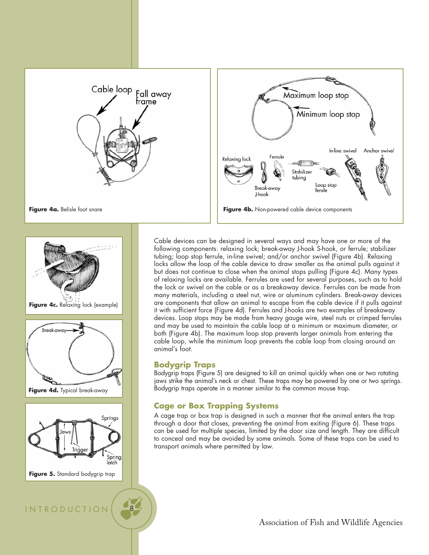







Figure 5. Standard bodygrip trap

INTRODUCTION 8

#### Cable devices can be designed in several ways and may have one or more of the following components: relaxing lock; break-away J-hook S-hook, or ferrule; stabilizer tubing; loop stop ferrule, in-line swivel; and/or anchor swivel (Figure 4b). Relaxing locks allow the loop of the cable device to draw smaller as the animal pulls against it but does not continue to close when the animal stops pulling (Figure 4c). Many types of relaxing locks are available. Ferrules are used for several purposes, such as to hold the lock or swivel on the cable or as a breakaway device. Ferrules can be made from many materials, including a steel nut, wire or aluminum cylinders. Break-away devices are components that allow an animal to escape from the cable device if it pulls against it with sufficient force (Figure 4d). Ferrules and J-hooks are two examples of breakaway devices. Loop stops may be made from heavy gauge wire, steel nuts or crimped ferrules and may be used to maintain the cable loop at a minimum or maximum diameter, or both (Figure 4b). The maximum loop stop prevents larger animals from entering the cable loop, while the minimum loop prevents the cable loop from closing around an animal's foot.

### **Bodygrip Traps**

Bodygrip traps (Figure 5) are designed to kill an animal quickly when one or two rotating jaws strike the animal's neck or chest. These traps may be powered by one or two springs. Bodygrip traps operate in a manner similar to the common mouse trap.

### **Cage or Box Trapping Systems**

A cage trap or box trap is designed in such a manner that the animal enters the trap through a door that closes, preventing the animal from exiting (Figure 6). These traps can be used for multiple species, limited by the door size and length. They are difficult to conceal and may be avoided by some animals. Some of these traps can be used to transport animals where permitted by law.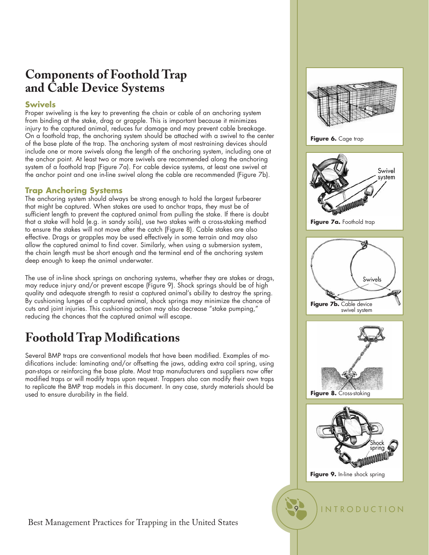### **Components of Foothold Trap and Cable Device Systems**

### **Swivels**

Proper swiveling is the key to preventing the chain or cable of an anchoring system from binding at the stake, drag or grapple. This is important because it minimizes injury to the captured animal, reduces fur damage and may prevent cable breakage. On a foothold trap, the anchoring system should be attached with a swivel to the center of the base plate of the trap. The anchoring system of most restraining devices should include one or more swivels along the length of the anchoring system, including one at the anchor point. At least two or more swivels are recommended along the anchoring system of a foothold trap (Figure 7a). For cable device systems, at least one swivel at the anchor point and one in-line swivel along the cable are recommended (Figure 7b).

### **Trap Anchoring Systems**

The anchoring system should always be strong enough to hold the largest furbearer that might be captured. When stakes are used to anchor traps, they must be of sufficient length to prevent the captured animal from pulling the stake. If there is doubt that a stake will hold (e.g. in sandy soils), use two stakes with a cross-staking method to ensure the stakes will not move after the catch (Figure 8). Cable stakes are also effective. Drags or grapples may be used effectively in some terrain and may also allow the captured animal to find cover. Similarly, when using a submersion system, the chain length must be short enough and the terminal end of the anchoring system deep enough to keep the animal underwater.

The use of in-line shock springs on anchoring systems, whether they are stakes or drags, may reduce injury and/or prevent escape (Figure 9). Shock springs should be of high quality and adequate strength to resist a captured animal's ability to destroy the spring. By cushioning lunges of a captured animal, shock springs may minimize the chance of cuts and joint injuries. This cushioning action may also decrease "stake pumping," reducing the chances that the captured animal will escape.

# **Foothold Trap Modifications**

Several BMP traps are conventional models that have been modified. Examples of modifications include: laminating and/or offsetting the jaws, adding extra coil spring, using pan-stops or reinforcing the base plate. Most trap manufacturers and suppliers now offer modified traps or will modify traps upon request. Trappers also can modify their own traps to replicate the BMP trap models in this document. In any case, sturdy materials should be used to ensure durability in the field.



9 INTRODUCTION

**Figure 9.** In-line shock spring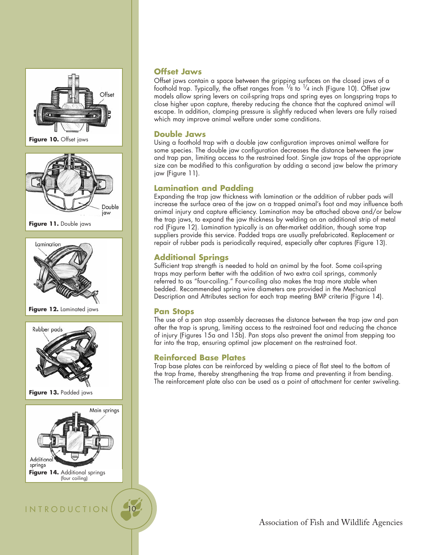

**Figure 10.** Offset jaws



**Figure 11.** Double jaws



**Figure 12.** Laminated jaws



**Figure 13.** Padded jaws



**INTRODUCTION** 

### **Offset Jaws**

Offset jaws contain a space between the gripping surfaces on the closed jaws of a foothold trap. Typically, the offset ranges from  $^{1}\!/$ 8 to  $^{1}\!/$ 4 inch (Figure 10). Offset jaw models allow spring levers on coil-spring traps and spring eyes on longspring traps to close higher upon capture, thereby reducing the chance that the captured animal will escape. In addition, clamping pressure is slightly reduced when levers are fully raised which may improve animal welfare under some conditions.

### **Double Jaws**

Using a foothold trap with a double jaw configuration improves animal welfare for some species. The double jaw configuration decreases the distance between the jaw and trap pan, limiting access to the restrained foot. Single jaw traps of the appropriate size can be modified to this configuration by adding a second jaw below the primary jaw (Figure 11).

### **Lamination and Padding**

Expanding the trap jaw thickness with lamination or the addition of rubber pads will increase the surface area of the jaw on a trapped animal's foot and may influence both animal injury and capture efficiency. Lamination may be attached above and/or below the trap jaws, to expand the jaw thickness by welding on an additional strip of metal rod (Figure 12). Lamination typically is an after-market addition, though some trap suppliers provide this service. Padded traps are usually prefabricated. Replacement or repair of rubber pads is periodically required, especially after captures (Figure 13).

### **Additional Springs**

Sufficient trap strength is needed to hold an animal by the foot. Some coil-spring traps may perform better with the addition of two extra coil springs, commonly referred to as "four-coiling." Four-coiling also makes the trap more stable when bedded. Recommended spring wire diameters are provided in the Mechanical Description and Attributes section for each trap meeting BMP criteria (Figure 14).

### **Pan Stops**

The use of a pan stop assembly decreases the distance between the trap jaw and pan after the trap is sprung, limiting access to the restrained foot and reducing the chance of injury (Figures 15a and 15b). Pan stops also prevent the animal from stepping too far into the trap, ensuring optimal jaw placement on the restrained foot.

### **Reinforced Base Plates**

Trap base plates can be reinforced by welding a piece of flat steel to the bottom of the trap frame, thereby strengthening the trap frame and preventing it from bending. The reinforcement plate also can be used as a point of attachment for center swiveling.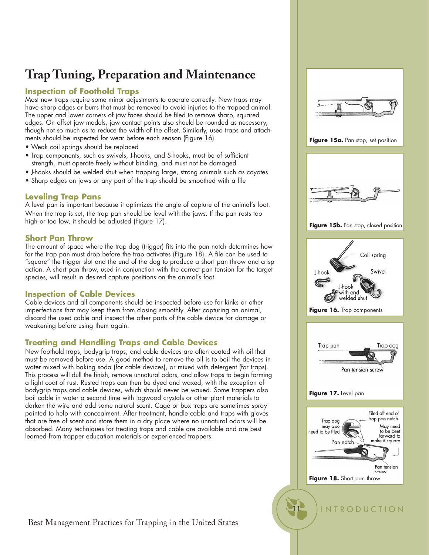# **Trap Tuning, Preparation and Maintenance**

### **Inspection of Foothold Traps**

Most new traps require some minor adjustments to operate correctly. New traps may have sharp edges or burrs that must be removed to avoid injuries to the trapped animal. The upper and lower corners of jaw faces should be filed to remove sharp, squared edges. On offset jaw models, jaw contact points also should be rounded as necessary, though not so much as to reduce the width of the offset. Similarly, used traps and attachments should be inspected for wear before each season (Figure 16).

- Weak coil springs should be replaced
- Trap components, such as swivels, J-hooks, and S-hooks, must be of sufficient strength, must operate freely without binding, and must not be damaged
- J-hooks should be welded shut when trapping large, strong animals such as coyotes
- Sharp edges on jaws or any part of the trap should be smoothed with a file

### **Leveling Trap Pans**

A level pan is important because it optimizes the angle of capture of the animal's foot. When the trap is set, the trap pan should be level with the jaws. If the pan rests too high or too low, it should be adjusted (Figure 17).

#### **Short Pan Throw**

The amount of space where the trap dog (trigger) fits into the pan notch determines how far the trap pan must drop before the trap activates (Figure 18). A file can be used to "square" the trigger slot and the end of the dog to produce a short pan throw and crisp action. A short pan throw, used in conjunction with the correct pan tension for the target species, will result in desired capture positions on the animal's foot.

### **Inspection of Cable Devices**

Cable devices and all components should be inspected before use for kinks or other imperfections that may keep them from closing smoothly. After capturing an animal, discard the used cable and inspect the other parts of the cable device for damage or weakening before using them again.

### **Treating and Handling Traps and Cable Devices**

New foothold traps, bodygrip traps, and cable devices are often coated with oil that must be removed before use. A good method to remove the oil is to boil the devices in water mixed with baking soda (for cable devices), or mixed with detergent (for traps). This process will dull the finish, remove unnatural odors, and allow traps to begin forming a light coat of rust. Rusted traps can then be dyed and waxed, with the exception of bodygrip traps and cable devices, which should never be waxed. Some trappers also boil cable in water a second time with logwood crystals or other plant materials to darken the wire and add some natural scent. Cage or box traps are sometimes spray painted to help with concealment. After treatment, handle cable and traps with gloves that are free of scent and store them in a dry place where no unnatural odors will be absorbed. Many techniques for treating traps and cable are available and are best learned from trapper education materials or experienced trappers.











Best Management Practices for Trapping in the United States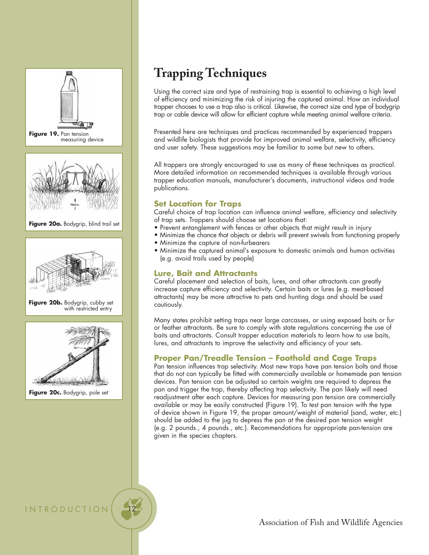

**INTRODUCTION** 

# **Trapping Techniques**

Using the correct size and type of restraining trap is essential to achieving a high level of efficiency and minimizing the risk of injuring the captured animal. How an individual trapper chooses to use a trap also is critical. Likewise, the correct size and type of bodygrip trap or cable device will allow for efficient capture while meeting animal welfare criteria.

Presented here are techniques and practices recommended by experienced trappers and wildlife biologists that provide for improved animal welfare, selectivity, efficiency and user safety. These suggestions may be familiar to some but new to others.

All trappers are strongly encouraged to use as many of these techniques as practical. More detailed information on recommended techniques is available through various trapper education manuals, manufacturer's documents, instructional videos and trade publications.

### **Set Location for Traps**

Careful choice of trap location can influence animal welfare, efficiency and selectivity of trap sets. Trappers should choose set locations that:

- Prevent entanglement with fences or other objects that might result in injury
- Minimize the chance that objects or debris will prevent swivels from functioning properly
- Minimize the capture of non-furbearers
- Minimize the captured animal's exposure to domestic animals and human activities (e.g. avoid trails used by people)

### **Lure, Bait and Attractants**

Careful placement and selection of baits, lures, and other attractants can greatly increase capture efficiency and selectivity. Certain baits or lures (e.g. meat-based attractants) may be more attractive to pets and hunting dogs and should be used cautiously.

Many states prohibit setting traps near large carcasses, or using exposed baits or fur or feather attractants. Be sure to comply with state regulations concerning the use of baits and attractants. Consult trapper education materials to learn how to use baits, lures, and attractants to improve the selectivity and efficiency of your sets.

### **Proper Pan/Treadle Tension – Foothold and Cage Traps**

Pan tension influences trap selectivity. Most new traps have pan tension bolts and those that do not can typically be fitted with commercially available or homemade pan tension devices. Pan tension can be adjusted so certain weights are required to depress the pan and trigger the trap, thereby affecting trap selectivity. The pan likely will need readjustment after each capture. Devices for measuring pan tension are commercially available or may be easily constructed (Figure 19). To test pan tension with the type of device shown in Figure 19, the proper amount/weight of material (sand, water, etc.) should be added to the jug to depress the pan at the desired pan tension weight (e.g. 2 pounds., 4 pounds., etc.). Recommendations for appropriate pan-tension are given in the species chapters.